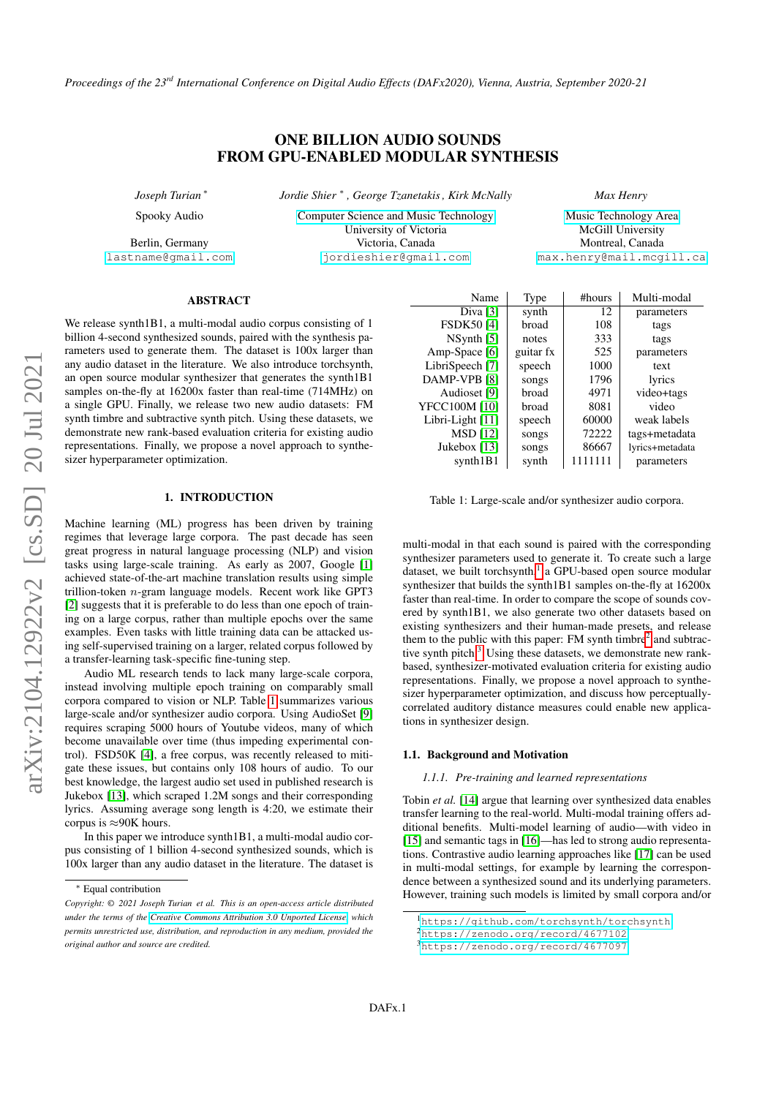*Proceedings of the 23rd International Conference on Digital Audio Effects (DAFx2020), Vienna, Austria, September 2020-21*

# ONE BILLION AUDIO SOUNDS FROM GPU-ENABLED MODULAR SYNTHESIS

*Joseph Turian* <sup>∗</sup> Spooky Audio

Berlin, Germany [lastname@gmail.com](mailto:lastname@gmail.com) *Jordie Shier* <sup>∗</sup> *, George Tzanetakis , Kirk McNally*

[Computer Science and Music Technology](https://www.uvic.ca/finearts/music/graduate/our-programs/music-csc/) University of Victoria Victoria, Canada [jordieshier@gmail.com](mailto:jordieshier@gmail.com)

[Music Technology Area](https://mt.music.mcgill.ca/) McGill University Montreal, Canada

[max.henry@mail.mcgill.ca](mailto:max.henry@mail.mcgill.ca)

*Max Henry*

ABSTRACT

We release synth1B1, a multi-modal audio corpus consisting of 1 billion 4-second synthesized sounds, paired with the synthesis parameters used to generate them. The dataset is 100x larger than any audio dataset in the literature. We also introduce torchsynth, an open source modular synthesizer that generates the synth1B1 samples on-the-fly at 16200x faster than real-time (714MHz) on a single GPU. Finally, we release two new audio datasets: FM synth timbre and subtractive synth pitch. Using these datasets, we demonstrate new rank-based evaluation criteria for existing audio representations. Finally, we propose a novel approach to synthesizer hyperparameter optimization.

# 1. INTRODUCTION

<span id="page-0-4"></span>Machine learning (ML) progress has been driven by training regimes that leverage large corpora. The past decade has seen great progress in natural language processing (NLP) and vision tasks using large-scale training. As early as 2007, Google [\[1\]](#page-6-0) achieved state-of-the-art machine translation results using simple trillion-token n-gram language models. Recent work like GPT3 [\[2\]](#page-6-1) suggests that it is preferable to do less than one epoch of training on a large corpus, rather than multiple epochs over the same examples. Even tasks with little training data can be attacked using self-supervised training on a larger, related corpus followed by a transfer-learning task-specific fine-tuning step.

Audio ML research tends to lack many large-scale corpora, instead involving multiple epoch training on comparably small corpora compared to vision or NLP. Table [1](#page-0-0) summarizes various large-scale and/or synthesizer audio corpora. Using AudioSet [\[9\]](#page-6-2) requires scraping 5000 hours of Youtube videos, many of which become unavailable over time (thus impeding experimental control). FSD50K [\[4\]](#page-6-3), a free corpus, was recently released to mitigate these issues, but contains only 108 hours of audio. To our best knowledge, the largest audio set used in published research is Jukebox [\[13\]](#page-7-0), which scraped 1.2M songs and their corresponding lyrics. Assuming average song length is 4:20, we estimate their corpus is  $\approx$ 90K hours.

In this paper we introduce synth1B1, a multi-modal audio corpus consisting of 1 billion 4-second synthesized sounds, which is 100x larger than any audio dataset in the literature. The dataset is

<span id="page-0-0"></span>

| Name              | Type      | #hours  | Multi-modal     |
|-------------------|-----------|---------|-----------------|
| Diva $[3]$        | synth     | 12      | parameters      |
| <b>FSDK50 [4]</b> | broad     | 108     | tags            |
| $NS$ ynth $[5]$   | notes     | 333     | tags            |
| Amp-Space [6]     | guitar fx | 525     | parameters      |
| LibriSpeech [7]   | speech    | 1000    | text            |
| DAMP-VPB [8]      | songs     | 1796    | lyrics          |
| Audioset [9]      | broad     | 4971    | video+tags      |
| YFCC100M [10]     | broad     | 8081    | video           |
| Libri-Light [11]  | speech    | 60000   | weak labels     |
| <b>MSD</b> [12]   | songs     | 72222   | tags+metadata   |
| Jukebox [13]      | songs     | 86667   | lyrics+metadata |
| synth1B1          | synth     | 1111111 | parameters      |

Table 1: Large-scale and/or synthesizer audio corpora.

multi-modal in that each sound is paired with the corresponding synthesizer parameters used to generate it. To create such a large dataset, we built torchsynth,<sup>[1](#page-0-1)</sup> a GPU-based open source modular synthesizer that builds the synth1B1 samples on-the-fly at 16200x faster than real-time. In order to compare the scope of sounds covered by synth1B1, we also generate two other datasets based on existing synthesizers and their human-made presets, and release them to the public with this paper: FM synth timbre $<sup>2</sup>$  $<sup>2</sup>$  $<sup>2</sup>$  and subtrac-</sup> tive synth pitch. $3$  Using these datasets, we demonstrate new rankbased, synthesizer-motivated evaluation criteria for existing audio representations. Finally, we propose a novel approach to synthesizer hyperparameter optimization, and discuss how perceptuallycorrelated auditory distance measures could enable new applications in synthesizer design.

# 1.1. Background and Motivation

#### *1.1.1. Pre-training and learned representations*

Tobin *et al.* [\[14\]](#page-7-1) argue that learning over synthesized data enables transfer learning to the real-world. Multi-modal training offers additional benefits. Multi-model learning of audio—with video in [\[15\]](#page-7-2) and semantic tags in [\[16\]](#page-7-3)—has led to strong audio representations. Contrastive audio learning approaches like [\[17\]](#page-7-4) can be used in multi-modal settings, for example by learning the correspondence between a synthesized sound and its underlying parameters. However, training such models is limited by small corpora and/or

<sup>∗</sup> Equal contribution

*Copyright: © 2021 Joseph Turian et al. This is an open-access article distributed under the terms of the [Creative Commons Attribution 3.0 Unported License,](http://creativecommons.org/licenses/by/3.0/) which permits unrestricted use, distribution, and reproduction in any medium, provided the original author and source are credited.*

<span id="page-0-1"></span><sup>1</sup><https://github.com/torchsynth/torchsynth>

<span id="page-0-2"></span><sup>2</sup><https://zenodo.org/record/4677102>

<span id="page-0-3"></span><sup>3</sup><https://zenodo.org/record/4677097>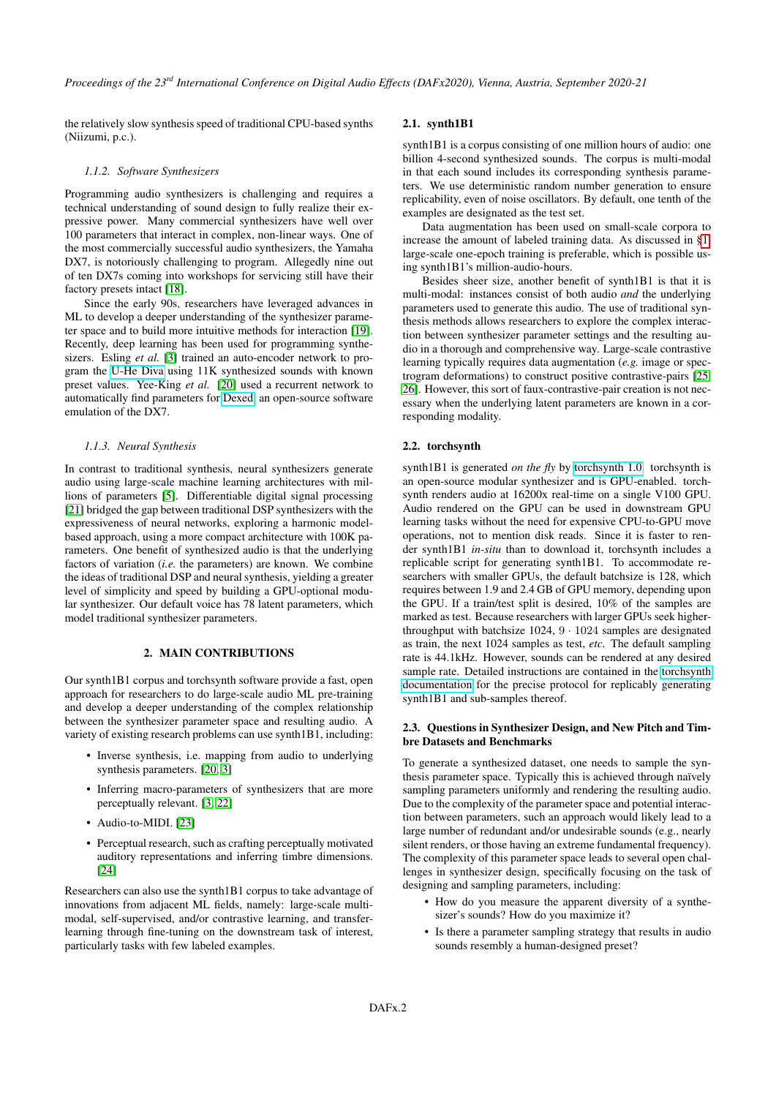the relatively slow synthesis speed of traditional CPU-based synths (Niizumi, p.c.).

#### *1.1.2. Software Synthesizers*

Programming audio synthesizers is challenging and requires a technical understanding of sound design to fully realize their expressive power. Many commercial synthesizers have well over 100 parameters that interact in complex, non-linear ways. One of the most commercially successful audio synthesizers, the Yamaha DX7, is notoriously challenging to program. Allegedly nine out of ten DX7s coming into workshops for servicing still have their factory presets intact [\[18\]](#page-7-5).

Since the early 90s, researchers have leveraged advances in ML to develop a deeper understanding of the synthesizer parameter space and to build more intuitive methods for interaction [\[19\]](#page-7-6). Recently, deep learning has been used for programming synthesizers. Esling *et al.* [\[3\]](#page-6-4) trained an auto-encoder network to program the [U-He Diva](https://u-he.com/products/diva/) using 11K synthesized sounds with known preset values. Yee-King *et al.* [\[20\]](#page-7-7) used a recurrent network to automatically find parameters for [Dexed,](https://asb2m10.github.io/dexed/) an open-source software emulation of the DX7.

#### *1.1.3. Neural Synthesis*

In contrast to traditional synthesis, neural synthesizers generate audio using large-scale machine learning architectures with millions of parameters [\[5\]](#page-6-5). Differentiable digital signal processing [\[21\]](#page-7-8) bridged the gap between traditional DSP synthesizers with the expressiveness of neural networks, exploring a harmonic modelbased approach, using a more compact architecture with 100K parameters. One benefit of synthesized audio is that the underlying factors of variation (*i.e.* the parameters) are known. We combine the ideas of traditional DSP and neural synthesis, yielding a greater level of simplicity and speed by building a GPU-optional modular synthesizer. Our default voice has 78 latent parameters, which model traditional synthesizer parameters.

#### 2. MAIN CONTRIBUTIONS

<span id="page-1-0"></span>Our synth1B1 corpus and torchsynth software provide a fast, open approach for researchers to do large-scale audio ML pre-training and develop a deeper understanding of the complex relationship between the synthesizer parameter space and resulting audio. A variety of existing research problems can use synth1B1, including:

- Inverse synthesis, i.e. mapping from audio to underlying synthesis parameters. [\[20,](#page-7-7) [3\]](#page-6-4)
- Inferring macro-parameters of synthesizers that are more perceptually relevant. [\[3,](#page-6-4) [22\]](#page-7-9)
- Audio-to-MIDI. [\[23\]](#page-7-10)
- Perceptual research, such as crafting perceptually motivated auditory representations and inferring timbre dimensions. [\[24\]](#page-7-11)

Researchers can also use the synth1B1 corpus to take advantage of innovations from adjacent ML fields, namely: large-scale multimodal, self-supervised, and/or contrastive learning, and transferlearning through fine-tuning on the downstream task of interest, particularly tasks with few labeled examples.

# 2.1. synth1B1

synth1B1 is a corpus consisting of one million hours of audio: one billion 4-second synthesized sounds. The corpus is multi-modal in that each sound includes its corresponding synthesis parameters. We use deterministic random number generation to ensure replicability, even of noise oscillators. By default, one tenth of the examples are designated as the test set.

Data augmentation has been used on small-scale corpora to increase the amount of labeled training data. As discussed in [§1,](#page-0-4) large-scale one-epoch training is preferable, which is possible using synth1B1's million-audio-hours.

Besides sheer size, another benefit of synth1B1 is that it is multi-modal: instances consist of both audio *and* the underlying parameters used to generate this audio. The use of traditional synthesis methods allows researchers to explore the complex interaction between synthesizer parameter settings and the resulting audio in a thorough and comprehensive way. Large-scale contrastive learning typically requires data augmentation (*e.g.* image or spectrogram deformations) to construct positive contrastive-pairs [\[25,](#page-7-12) [26\]](#page-7-13). However, this sort of faux-contrastive-pair creation is not necessary when the underlying latent parameters are known in a corresponding modality.

#### 2.2. torchsynth

synth1B1 is generated *on the fly* by [torchsynth 1.0.](https://github.com/torchsynth/torchsynth) torchsynth is an open-source modular synthesizer and is GPU-enabled. torchsynth renders audio at 16200x real-time on a single V100 GPU. Audio rendered on the GPU can be used in downstream GPU learning tasks without the need for expensive CPU-to-GPU move operations, not to mention disk reads. Since it is faster to render synth1B1 *in-situ* than to download it, torchsynth includes a replicable script for generating synth1B1. To accommodate researchers with smaller GPUs, the default batchsize is 128, which requires between 1.9 and 2.4 GB of GPU memory, depending upon the GPU. If a train/test split is desired, 10% of the samples are marked as test. Because researchers with larger GPUs seek higherthroughput with batchsize 1024, 9 · 1024 samples are designated as train, the next 1024 samples as test, *etc.* The default sampling rate is 44.1kHz. However, sounds can be rendered at any desired sample rate. Detailed instructions are contained in the [torchsynth](https://torchsynth.readthedocs.io/) [documentation](https://torchsynth.readthedocs.io/) for the precise protocol for replicably generating synth1B1 and sub-samples thereof.

## 2.3. Questions in Synthesizer Design, and New Pitch and Timbre Datasets and Benchmarks

To generate a synthesized dataset, one needs to sample the synthesis parameter space. Typically this is achieved through naïvely sampling parameters uniformly and rendering the resulting audio. Due to the complexity of the parameter space and potential interaction between parameters, such an approach would likely lead to a large number of redundant and/or undesirable sounds (e.g., nearly silent renders, or those having an extreme fundamental frequency). The complexity of this parameter space leads to several open challenges in synthesizer design, specifically focusing on the task of designing and sampling parameters, including:

- How do you measure the apparent diversity of a synthesizer's sounds? How do you maximize it?
- Is there a parameter sampling strategy that results in audio sounds resembly a human-designed preset?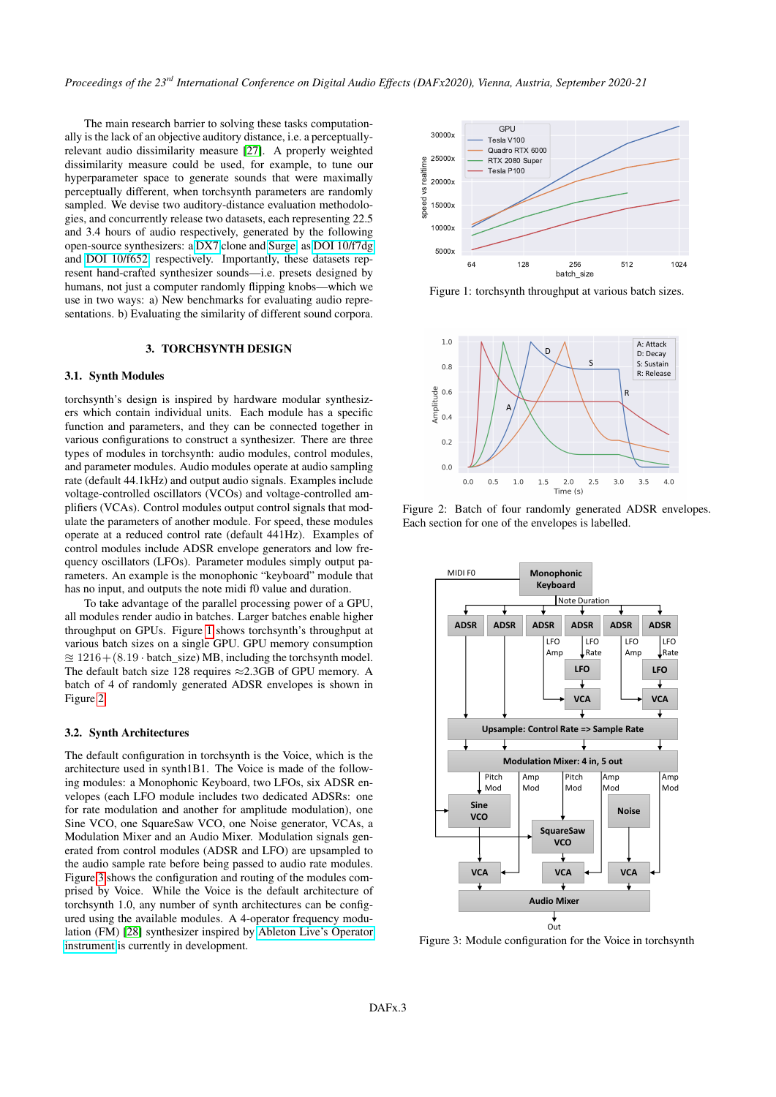The main research barrier to solving these tasks computationally is the lack of an objective auditory distance, i.e. a perceptuallyrelevant audio dissimilarity measure [\[27\]](#page-7-14). A properly weighted dissimilarity measure could be used, for example, to tune our hyperparameter space to generate sounds that were maximally perceptually different, when torchsynth parameters are randomly sampled. We devise two auditory-distance evaluation methodologies, and concurrently release two datasets, each representing 22.5 and 3.4 hours of audio respectively, generated by the following open-source synthesizers: a [DX7](https://github.com/bwhitman/learnfm) clone and [Surge,](https://surge-synthesizer.github.io/) as [DOI 10/f7dg](https://zenodo.org/record/4677102) and [DOI 10/f652,](https://zenodo.org/record/4677097) respectively. Importantly, these datasets represent hand-crafted synthesizer sounds—i.e. presets designed by humans, not just a computer randomly flipping knobs—which we use in two ways: a) New benchmarks for evaluating audio representations. b) Evaluating the similarity of different sound corpora.

## 3. TORCHSYNTH DESIGN

## <span id="page-2-1"></span>3.1. Synth Modules

torchsynth's design is inspired by hardware modular synthesizers which contain individual units. Each module has a specific function and parameters, and they can be connected together in various configurations to construct a synthesizer. There are three types of modules in torchsynth: audio modules, control modules, and parameter modules. Audio modules operate at audio sampling rate (default 44.1kHz) and output audio signals. Examples include voltage-controlled oscillators (VCOs) and voltage-controlled amplifiers (VCAs). Control modules output control signals that modulate the parameters of another module. For speed, these modules operate at a reduced control rate (default 441Hz). Examples of control modules include ADSR envelope generators and low frequency oscillators (LFOs). Parameter modules simply output parameters. An example is the monophonic "keyboard" module that has no input, and outputs the note midi f0 value and duration.

To take advantage of the parallel processing power of a GPU, all modules render audio in batches. Larger batches enable higher throughput on GPUs. Figure [1](#page-2-0) shows torchsynth's throughput at various batch sizes on a single GPU. GPU memory consumption  $\approx 1216 + (8.19 \cdot \text{batch\_size}) \text{ MB},$  including the torchsynth model. The default batch size 128 requires ≈2.3GB of GPU memory. A batch of 4 of randomly generated ADSR envelopes is shown in Figure [2.](#page-2-0)

# 3.2. Synth Architectures

The default configuration in torchsynth is the Voice, which is the architecture used in synth1B1. The Voice is made of the following modules: a Monophonic Keyboard, two LFOs, six ADSR envelopes (each LFO module includes two dedicated ADSRs: one for rate modulation and another for amplitude modulation), one Sine VCO, one SquareSaw VCO, one Noise generator, VCAs, a Modulation Mixer and an Audio Mixer. Modulation signals generated from control modules (ADSR and LFO) are upsampled to the audio sample rate before being passed to audio rate modules. Figure [3](#page-2-0) shows the configuration and routing of the modules comprised by Voice. While the Voice is the default architecture of torchsynth 1.0, any number of synth architectures can be configured using the available modules. A 4-operator frequency modulation (FM) [\[28\]](#page-7-15) synthesizer inspired by [Ableton Live's Operator](https://www.ableton.com/en/packs/operator/) [instrument](https://www.ableton.com/en/packs/operator/) is currently in development.

<span id="page-2-0"></span>

Figure 1: torchsynth throughput at various batch sizes.



Figure 2: Batch of four randomly generated ADSR envelopes. Each section for one of the envelopes is labelled.



Figure 3: Module configuration for the Voice in torchsynth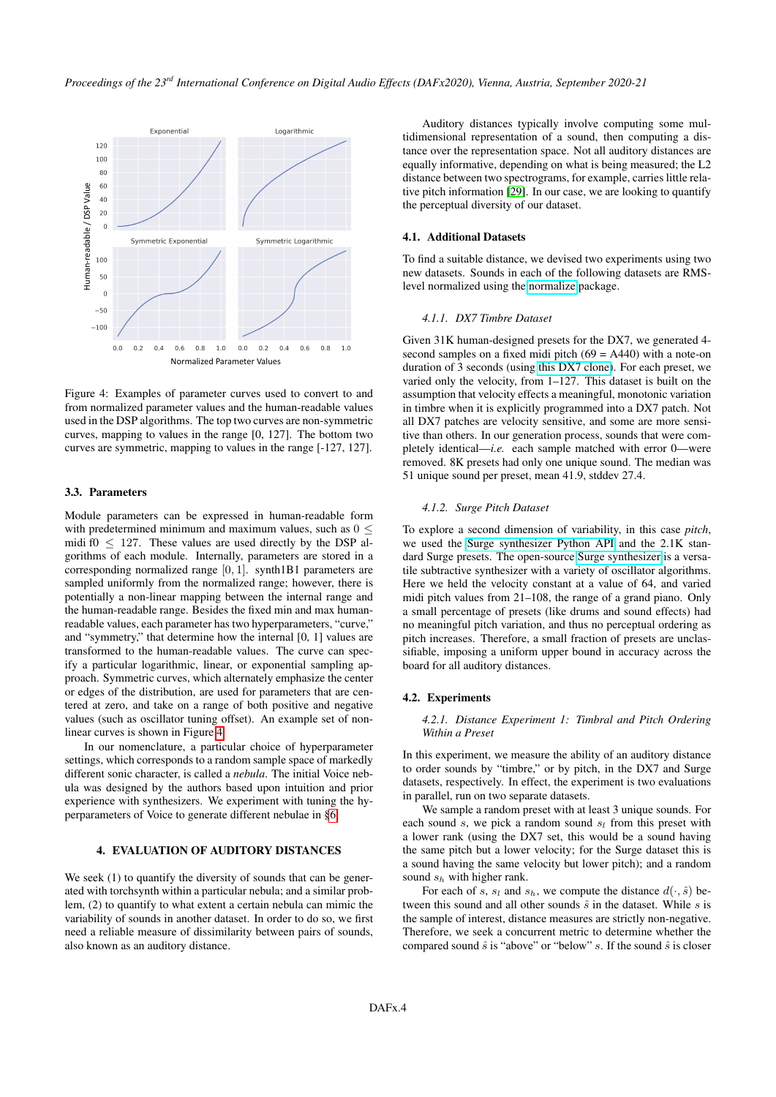<span id="page-3-0"></span>

Figure 4: Examples of parameter curves used to convert to and from normalized parameter values and the human-readable values used in the DSP algorithms. The top two curves are non-symmetric curves, mapping to values in the range [0, 127]. The bottom two curves are symmetric, mapping to values in the range [-127, 127].

# 3.3. Parameters

Module parameters can be expressed in human-readable form with predetermined minimum and maximum values, such as  $0 \leq$ midi f $0 \leq 127$ . These values are used directly by the DSP algorithms of each module. Internally, parameters are stored in a corresponding normalized range [0, 1]. synth1B1 parameters are sampled uniformly from the normalized range; however, there is potentially a non-linear mapping between the internal range and the human-readable range. Besides the fixed min and max humanreadable values, each parameter has two hyperparameters, "curve," and "symmetry," that determine how the internal [0, 1] values are transformed to the human-readable values. The curve can specify a particular logarithmic, linear, or exponential sampling approach. Symmetric curves, which alternately emphasize the center or edges of the distribution, are used for parameters that are centered at zero, and take on a range of both positive and negative values (such as oscillator tuning offset). An example set of nonlinear curves is shown in Figure [4.](#page-3-0)

In our nomenclature, a particular choice of hyperparameter settings, which corresponds to a random sample space of markedly different sonic character, is called a *nebula*. The initial Voice nebula was designed by the authors based upon intuition and prior experience with synthesizers. We experiment with tuning the hyperparameters of Voice to generate different nebulae in [§6.](#page-5-0)

## 4. EVALUATION OF AUDITORY DISTANCES

We seek (1) to quantify the diversity of sounds that can be generated with torchsynth within a particular nebula; and a similar problem, (2) to quantify to what extent a certain nebula can mimic the variability of sounds in another dataset. In order to do so, we first need a reliable measure of dissimilarity between pairs of sounds, also known as an auditory distance.

Auditory distances typically involve computing some multidimensional representation of a sound, then computing a distance over the representation space. Not all auditory distances are equally informative, depending on what is being measured; the L2 distance between two spectrograms, for example, carries little relative pitch information [\[29\]](#page-7-16). In our case, we are looking to quantify the perceptual diversity of our dataset.

## 4.1. Additional Datasets

To find a suitable distance, we devised two experiments using two new datasets. Sounds in each of the following datasets are RMSlevel normalized using the [normalize](https://github.com/kklobe/normalize) package.

## *4.1.1. DX7 Timbre Dataset*

Given 31K human-designed presets for the DX7, we generated 4 second samples on a fixed midi pitch  $(69 = A440)$  with a note-on duration of 3 seconds (using [this DX7 clone\)](https://github.com/bwhitman/learnfm). For each preset, we varied only the velocity, from 1–127. This dataset is built on the assumption that velocity effects a meaningful, monotonic variation in timbre when it is explicitly programmed into a DX7 patch. Not all DX7 patches are velocity sensitive, and some are more sensitive than others. In our generation process, sounds that were completely identical—*i.e.* each sample matched with error 0—were removed. 8K presets had only one unique sound. The median was 51 unique sound per preset, mean 41.9, stddev 27.4.

# *4.1.2. Surge Pitch Dataset*

To explore a second dimension of variability, in this case *pitch*, we used the [Surge synthesizer Python API](https://github.com/surge-synthesizer/surge-python) and the 2.1K standard Surge presets. The open-source [Surge synthesizer](https://surge-synthesizer.github.io/) is a versatile subtractive synthesizer with a variety of oscillator algorithms. Here we held the velocity constant at a value of 64, and varied midi pitch values from 21–108, the range of a grand piano. Only a small percentage of presets (like drums and sound effects) had no meaningful pitch variation, and thus no perceptual ordering as pitch increases. Therefore, a small fraction of presets are unclassifiable, imposing a uniform upper bound in accuracy across the board for all auditory distances.

#### <span id="page-3-1"></span>4.2. Experiments

#### *4.2.1. Distance Experiment 1: Timbral and Pitch Ordering Within a Preset*

In this experiment, we measure the ability of an auditory distance to order sounds by "timbre," or by pitch, in the DX7 and Surge datasets, respectively. In effect, the experiment is two evaluations in parallel, run on two separate datasets.

We sample a random preset with at least 3 unique sounds. For each sound s, we pick a random sound  $s_l$  from this preset with a lower rank (using the DX7 set, this would be a sound having the same pitch but a lower velocity; for the Surge dataset this is a sound having the same velocity but lower pitch); and a random sound  $s_h$  with higher rank.

For each of s,  $s_l$  and  $s_h$ , we compute the distance  $d(\cdot, \hat{s})$  between this sound and all other sounds  $\hat{s}$  in the dataset. While  $s$  is the sample of interest, distance measures are strictly non-negative. Therefore, we seek a concurrent metric to determine whether the compared sound  $\hat{s}$  is "above" or "below" s. If the sound  $\hat{s}$  is closer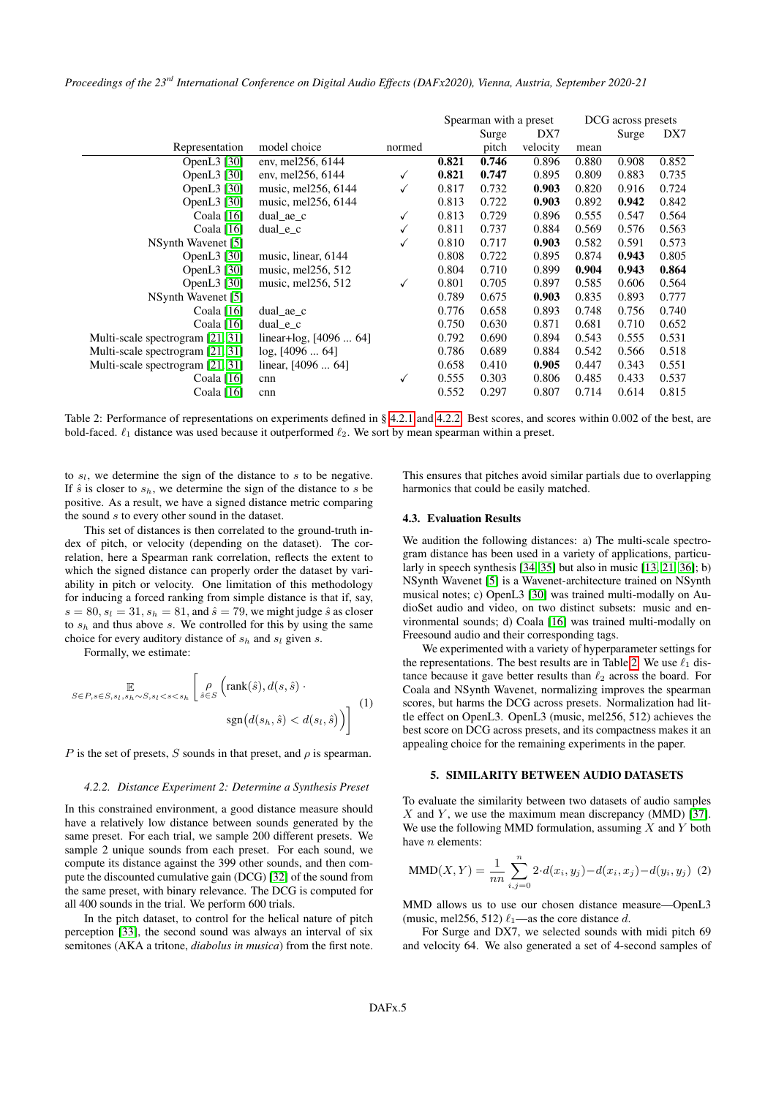*Proceedings of the 23rd International Conference on Digital Audio Effects (DAFx2020), Vienna, Austria, September 2020-21*

<span id="page-4-1"></span>

|                                  |                                  |        | Spearman with a preset |       |          | DCG across presets |       |       |
|----------------------------------|----------------------------------|--------|------------------------|-------|----------|--------------------|-------|-------|
|                                  |                                  |        |                        | Surge | DX7      |                    | Surge | DX7   |
| Representation                   | model choice                     | normed |                        | pitch | velocity | mean               |       |       |
| OpenL3 [30]                      | env, mel <sub>256</sub> , 6144   |        | 0.821                  | 0.746 | 0.896    | 0.880              | 0.908 | 0.852 |
| OpenL3 [30]                      | env, mel <sub>256</sub> , 6144   | √      | 0.821                  | 0.747 | 0.895    | 0.809              | 0.883 | 0.735 |
| OpenL $3$ [30]                   | music, mel256, 6144              | √      | 0.817                  | 0.732 | 0.903    | 0.820              | 0.916 | 0.724 |
| OpenL3 [30]                      | music, mel <sub>256</sub> , 6144 |        | 0.813                  | 0.722 | 0.903    | 0.892              | 0.942 | 0.842 |
| Coala [16]                       | $dual$ ae c                      | ✓      | 0.813                  | 0.729 | 0.896    | 0.555              | 0.547 | 0.564 |
| Coala $[16]$                     | dual $e$ $c$                     |        | 0.811                  | 0.737 | 0.884    | 0.569              | 0.576 | 0.563 |
| NSynth Wavenet [5]               |                                  | √      | 0.810                  | 0.717 | 0.903    | 0.582              | 0.591 | 0.573 |
| OpenL3 [30]                      | music, linear, 6144              |        | 0.808                  | 0.722 | 0.895    | 0.874              | 0.943 | 0.805 |
| OpenL3 [30]                      | music, mel256, 512               |        | 0.804                  | 0.710 | 0.899    | 0.904              | 0.943 | 0.864 |
| OpenL3 [30]                      | music, mel256, 512               | √      | 0.801                  | 0.705 | 0.897    | 0.585              | 0.606 | 0.564 |
| NSynth Wavenet [5]               |                                  |        | 0.789                  | 0.675 | 0.903    | 0.835              | 0.893 | 0.777 |
| Coala $[16]$                     | dual ae c                        |        | 0.776                  | 0.658 | 0.893    | 0.748              | 0.756 | 0.740 |
| Coala $[16]$                     | dual $e$ $c$                     |        | 0.750                  | 0.630 | 0.871    | 0.681              | 0.710 | 0.652 |
| Multi-scale spectrogram [21, 31] | linear+log, $[4096 \dots 64]$    |        | 0.792                  | 0.690 | 0.894    | 0.543              | 0.555 | 0.531 |
| Multi-scale spectrogram [21, 31] | $log, [4096 \dots 64]$           |        | 0.786                  | 0.689 | 0.884    | 0.542              | 0.566 | 0.518 |
| Multi-scale spectrogram [21, 31] | linear, $[4096 \dots 64]$        |        | 0.658                  | 0.410 | 0.905    | 0.447              | 0.343 | 0.551 |
| Coala [16]                       | cnn                              | √      | 0.555                  | 0.303 | 0.806    | 0.485              | 0.433 | 0.537 |
| Coala [16]                       | cnn                              |        | 0.552                  | 0.297 | 0.807    | 0.714              | 0.614 | 0.815 |

Table 2: Performance of representations on experiments defined in § [4.2.1](#page-3-1) and [4.2.2.](#page-4-0) Best scores, and scores within 0.002 of the best, are bold-faced.  $\ell_1$  distance was used because it outperformed  $\ell_2$ . We sort by mean spearman within a preset.

to  $s_l$ , we determine the sign of the distance to s to be negative. If  $\hat{s}$  is closer to  $s_h$ , we determine the sign of the distance to s be positive. As a result, we have a signed distance metric comparing the sound  $s$  to every other sound in the dataset.

This set of distances is then correlated to the ground-truth index of pitch, or velocity (depending on the dataset). The correlation, here a Spearman rank correlation, reflects the extent to which the signed distance can properly order the dataset by variability in pitch or velocity. One limitation of this methodology for inducing a forced ranking from simple distance is that if, say,  $s = 80$ ,  $s_l = 31$ ,  $s_h = 81$ , and  $\hat{s} = 79$ , we might judge  $\hat{s}$  as closer to  $s_h$  and thus above s. We controlled for this by using the same choice for every auditory distance of  $s_h$  and  $s_l$  given s.

Formally, we estimate:

$$
\mathbb{E}_{S \in P, s \in S, s_l, s_h \sim S, s_l < s < s_h} \left[ \rho \left( \text{rank}(\hat{s}), d(s, \hat{s}) \cdot \text{sgn}(d(s_h, \hat{s}) < d(s_l, \hat{s})) \right) \right] \tag{1}
$$

P is the set of presets, S sounds in that preset, and  $\rho$  is spearman.

#### <span id="page-4-0"></span>*4.2.2. Distance Experiment 2: Determine a Synthesis Preset*

In this constrained environment, a good distance measure should have a relatively low distance between sounds generated by the same preset. For each trial, we sample 200 different presets. We sample 2 unique sounds from each preset. For each sound, we compute its distance against the 399 other sounds, and then compute the discounted cumulative gain (DCG) [\[32\]](#page-7-19) of the sound from the same preset, with binary relevance. The DCG is computed for all 400 sounds in the trial. We perform 600 trials.

In the pitch dataset, to control for the helical nature of pitch perception [\[33\]](#page-7-20), the second sound was always an interval of six semitones (AKA a tritone, *diabolus in musica*) from the first note.

This ensures that pitches avoid similar partials due to overlapping harmonics that could be easily matched.

## 4.3. Evaluation Results

We audition the following distances: a) The multi-scale spectrogram distance has been used in a variety of applications, particularly in speech synthesis [\[34,](#page-7-21) [35\]](#page-7-22) but also in music [\[13,](#page-7-0) [21,](#page-7-8) [36\]](#page-7-23); b) NSynth Wavenet [\[5\]](#page-6-5) is a Wavenet-architecture trained on NSynth musical notes; c) OpenL3 [\[30\]](#page-7-17) was trained multi-modally on AudioSet audio and video, on two distinct subsets: music and environmental sounds; d) Coala [\[16\]](#page-7-3) was trained multi-modally on Freesound audio and their corresponding tags.

We experimented with a variety of hyperparameter settings for the representations. The best results are in Table [2.](#page-4-1) We use  $\ell_1$  distance because it gave better results than  $\ell_2$  across the board. For Coala and NSynth Wavenet, normalizing improves the spearman scores, but harms the DCG across presets. Normalization had little effect on OpenL3. OpenL3 (music, mel256, 512) achieves the best score on DCG across presets, and its compactness makes it an appealing choice for the remaining experiments in the paper.

# 5. SIMILARITY BETWEEN AUDIO DATASETS

To evaluate the similarity between two datasets of audio samples  $X$  and  $Y$ , we use the maximum mean discrepancy (MMD) [\[37\]](#page-7-24). We use the following MMD formulation, assuming  $X$  and  $Y$  both have n elements:

<span id="page-4-2"></span>MMD(X, Y) = 
$$
\frac{1}{nn} \sum_{i,j=0}^{n} 2 \cdot d(x_i, y_j) - d(x_i, x_j) - d(y_i, y_j)
$$
 (2)

MMD allows us to use our chosen distance measure—OpenL3 (music, mel256, 512)  $\ell_1$ —as the core distance d.

For Surge and DX7, we selected sounds with midi pitch 69 and velocity 64. We also generated a set of 4-second samples of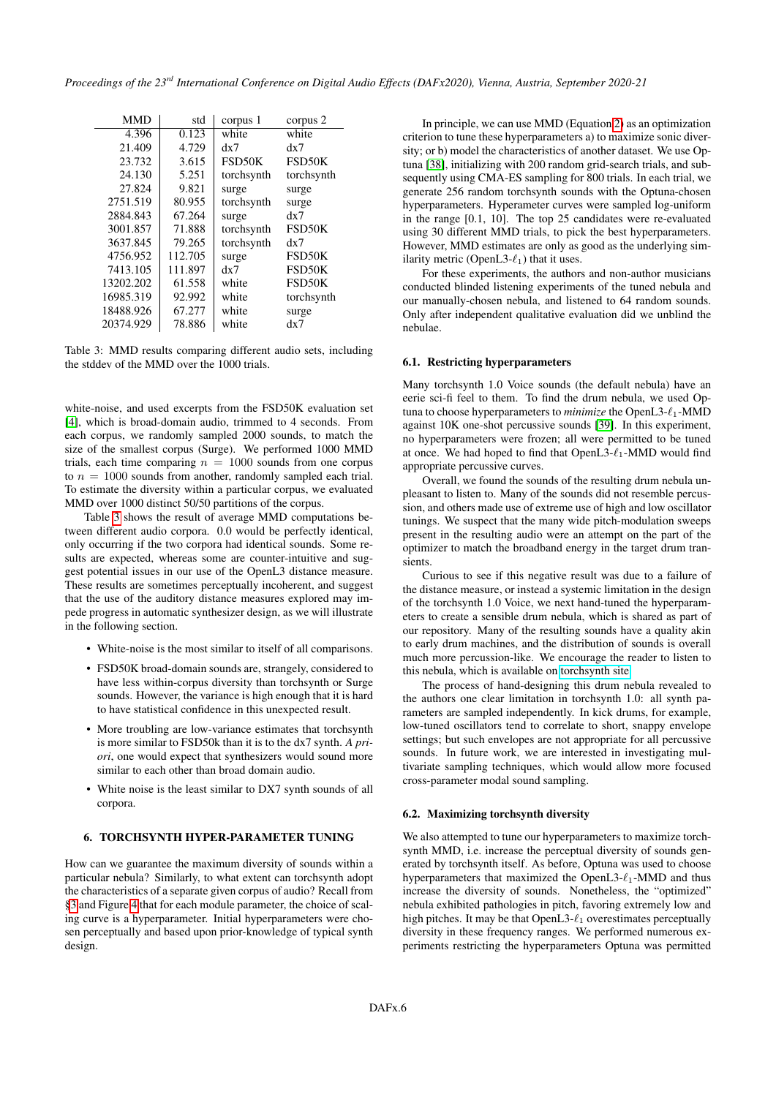<span id="page-5-1"></span>

| <b>MMD</b> | std     | corpus 1   | corpus 2   |
|------------|---------|------------|------------|
| 4.396      | 0.123   | white      | white      |
| 21.409     | 4.729   | dx7        | dx7        |
| 23.732     | 3.615   | FSD50K     | FSD50K     |
| 24.130     | 5.251   | torchsynth | torchsynth |
| 27.824     | 9.821   | surge      | surge      |
| 2751.519   | 80.955  | torchsynth | surge      |
| 2884.843   | 67.264  | surge      | dx7        |
| 3001.857   | 71.888  | torchsynth | FSD50K     |
| 3637.845   | 79.265  | torchsynth | dx7        |
| 4756.952   | 112.705 | surge      | FSD50K     |
| 7413.105   | 111.897 | dx7        | FSD50K     |
| 13202.202  | 61.558  | white      | FSD50K     |
| 16985.319  | 92.992  | white      | torchsynth |
| 18488.926  | 67.277  | white      | surge      |
| 20374.929  | 78.886  | white      | dx7        |

Table 3: MMD results comparing different audio sets, including the stddev of the MMD over the 1000 trials.

white-noise, and used excerpts from the FSD50K evaluation set [\[4\]](#page-6-3), which is broad-domain audio, trimmed to 4 seconds. From each corpus, we randomly sampled 2000 sounds, to match the size of the smallest corpus (Surge). We performed 1000 MMD trials, each time comparing  $n = 1000$  sounds from one corpus to  $n = 1000$  sounds from another, randomly sampled each trial. To estimate the diversity within a particular corpus, we evaluated MMD over 1000 distinct 50/50 partitions of the corpus.

Table [3](#page-5-1) shows the result of average MMD computations between different audio corpora. 0.0 would be perfectly identical, only occurring if the two corpora had identical sounds. Some results are expected, whereas some are counter-intuitive and suggest potential issues in our use of the OpenL3 distance measure. These results are sometimes perceptually incoherent, and suggest that the use of the auditory distance measures explored may impede progress in automatic synthesizer design, as we will illustrate in the following section.

- White-noise is the most similar to itself of all comparisons.
- FSD50K broad-domain sounds are, strangely, considered to have less within-corpus diversity than torchsynth or Surge sounds. However, the variance is high enough that it is hard to have statistical confidence in this unexpected result.
- More troubling are low-variance estimates that torchsynth is more similar to FSD50k than it is to the dx7 synth. *A priori*, one would expect that synthesizers would sound more similar to each other than broad domain audio.
- White noise is the least similar to DX7 synth sounds of all corpora.

# <span id="page-5-0"></span>6. TORCHSYNTH HYPER-PARAMETER TUNING

How can we guarantee the maximum diversity of sounds within a particular nebula? Similarly, to what extent can torchsynth adopt the characteristics of a separate given corpus of audio? Recall from [§3](#page-2-1) and Figure [4](#page-3-0) that for each module parameter, the choice of scaling curve is a hyperparameter. Initial hyperparameters were chosen perceptually and based upon prior-knowledge of typical synth design.

In principle, we can use MMD (Equation [2\)](#page-4-2) as an optimization criterion to tune these hyperparameters a) to maximize sonic diversity; or b) model the characteristics of another dataset. We use Optuna [\[38\]](#page-7-25), initializing with 200 random grid-search trials, and subsequently using CMA-ES sampling for 800 trials. In each trial, we generate 256 random torchsynth sounds with the Optuna-chosen hyperparameters. Hyperameter curves were sampled log-uniform in the range [0.1, 10]. The top 25 candidates were re-evaluated using 30 different MMD trials, to pick the best hyperparameters. However, MMD estimates are only as good as the underlying similarity metric (OpenL3- $\ell_1$ ) that it uses.

For these experiments, the authors and non-author musicians conducted blinded listening experiments of the tuned nebula and our manually-chosen nebula, and listened to 64 random sounds. Only after independent qualitative evaluation did we unblind the nebulae.

# 6.1. Restricting hyperparameters

Many torchsynth 1.0 Voice sounds (the default nebula) have an eerie sci-fi feel to them. To find the drum nebula, we used Optuna to choose hyperparameters to *minimize* the OpenL3-ℓ1-MMD against 10K one-shot percussive sounds [\[39\]](#page-7-26). In this experiment, no hyperparameters were frozen; all were permitted to be tuned at once. We had hoped to find that  $OpenL3-\ell_1-MMD$  would find appropriate percussive curves.

Overall, we found the sounds of the resulting drum nebula unpleasant to listen to. Many of the sounds did not resemble percussion, and others made use of extreme use of high and low oscillator tunings. We suspect that the many wide pitch-modulation sweeps present in the resulting audio were an attempt on the part of the optimizer to match the broadband energy in the target drum transients.

Curious to see if this negative result was due to a failure of the distance measure, or instead a systemic limitation in the design of the torchsynth 1.0 Voice, we next hand-tuned the hyperparameters to create a sensible drum nebula, which is shared as part of our repository. Many of the resulting sounds have a quality akin to early drum machines, and the distribution of sounds is overall much more percussion-like. We encourage the reader to listen to this nebula, which is available on [torchsynth site.](https://torchsynth.readthedocs.io/)

The process of hand-designing this drum nebula revealed to the authors one clear limitation in torchsynth 1.0: all synth parameters are sampled independently. In kick drums, for example, low-tuned oscillators tend to correlate to short, snappy envelope settings; but such envelopes are not appropriate for all percussive sounds. In future work, we are interested in investigating multivariate sampling techniques, which would allow more focused cross-parameter modal sound sampling.

#### 6.2. Maximizing torchsynth diversity

We also attempted to tune our hyperparameters to maximize torchsynth MMD, i.e. increase the perceptual diversity of sounds generated by torchsynth itself. As before, Optuna was used to choose hyperparameters that maximized the OpenL3- $\ell_1$ -MMD and thus increase the diversity of sounds. Nonetheless, the "optimized" nebula exhibited pathologies in pitch, favoring extremely low and high pitches. It may be that OpenL3- $\ell_1$  overestimates perceptually diversity in these frequency ranges. We performed numerous experiments restricting the hyperparameters Optuna was permitted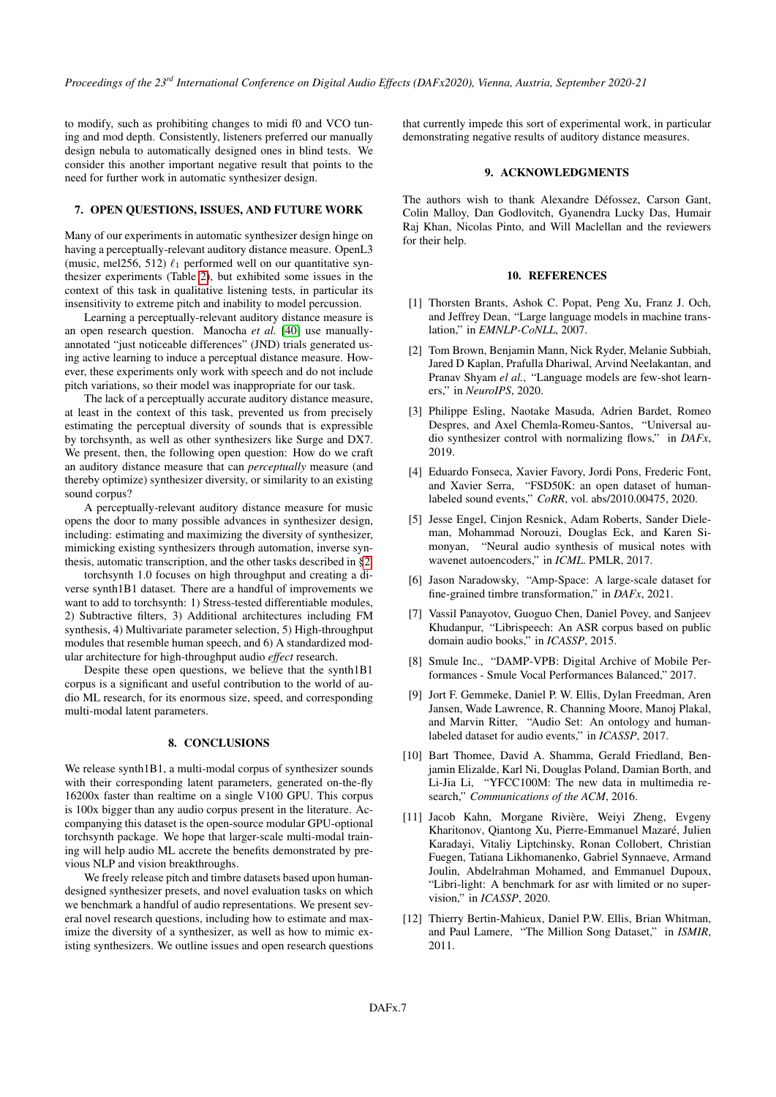to modify, such as prohibiting changes to midi f0 and VCO tuning and mod depth. Consistently, listeners preferred our manually design nebula to automatically designed ones in blind tests. We consider this another important negative result that points to the need for further work in automatic synthesizer design.

# 7. OPEN QUESTIONS, ISSUES, AND FUTURE WORK

Many of our experiments in automatic synthesizer design hinge on having a perceptually-relevant auditory distance measure. OpenL3 (music, mel256, 512)  $\ell_1$  performed well on our quantitative synthesizer experiments (Table [2\)](#page-4-1), but exhibited some issues in the context of this task in qualitative listening tests, in particular its insensitivity to extreme pitch and inability to model percussion.

Learning a perceptually-relevant auditory distance measure is an open research question. Manocha *et al.* [\[40\]](#page-7-27) use manuallyannotated "just noticeable differences" (JND) trials generated using active learning to induce a perceptual distance measure. However, these experiments only work with speech and do not include pitch variations, so their model was inappropriate for our task.

The lack of a perceptually accurate auditory distance measure, at least in the context of this task, prevented us from precisely estimating the perceptual diversity of sounds that is expressible by torchsynth, as well as other synthesizers like Surge and DX7. We present, then, the following open question: How do we craft an auditory distance measure that can *perceptually* measure (and thereby optimize) synthesizer diversity, or similarity to an existing sound corpus?

A perceptually-relevant auditory distance measure for music opens the door to many possible advances in synthesizer design, including: estimating and maximizing the diversity of synthesizer, mimicking existing synthesizers through automation, inverse synthesis, automatic transcription, and the other tasks described in [§2.](#page-1-0)

torchsynth 1.0 focuses on high throughput and creating a diverse synth1B1 dataset. There are a handful of improvements we want to add to torchsynth: 1) Stress-tested differentiable modules, 2) Subtractive filters, 3) Additional architectures including FM synthesis, 4) Multivariate parameter selection, 5) High-throughput modules that resemble human speech, and 6) A standardized modular architecture for high-throughput audio *effect* research.

Despite these open questions, we believe that the synth1B1 corpus is a significant and useful contribution to the world of audio ML research, for its enormous size, speed, and corresponding multi-modal latent parameters.

#### 8. CONCLUSIONS

We release synth1B1, a multi-modal corpus of synthesizer sounds with their corresponding latent parameters, generated on-the-fly 16200x faster than realtime on a single V100 GPU. This corpus is 100x bigger than any audio corpus present in the literature. Accompanying this dataset is the open-source modular GPU-optional torchsynth package. We hope that larger-scale multi-modal training will help audio ML accrete the benefits demonstrated by previous NLP and vision breakthroughs.

We freely release pitch and timbre datasets based upon humandesigned synthesizer presets, and novel evaluation tasks on which we benchmark a handful of audio representations. We present several novel research questions, including how to estimate and maximize the diversity of a synthesizer, as well as how to mimic existing synthesizers. We outline issues and open research questions that currently impede this sort of experimental work, in particular demonstrating negative results of auditory distance measures.

# 9. ACKNOWLEDGMENTS

The authors wish to thank Alexandre Défossez, Carson Gant, Colin Malloy, Dan Godlovitch, Gyanendra Lucky Das, Humair Raj Khan, Nicolas Pinto, and Will Maclellan and the reviewers for their help.

## 10. REFERENCES

- <span id="page-6-0"></span>[1] Thorsten Brants, Ashok C. Popat, Peng Xu, Franz J. Och, and Jeffrey Dean, "Large language models in machine translation," in *EMNLP-CoNLL*, 2007.
- <span id="page-6-1"></span>[2] Tom Brown, Benjamin Mann, Nick Ryder, Melanie Subbiah, Jared D Kaplan, Prafulla Dhariwal, Arvind Neelakantan, and Pranav Shyam *el al.*, "Language models are few-shot learners," in *NeuroIPS*, 2020.
- <span id="page-6-4"></span>[3] Philippe Esling, Naotake Masuda, Adrien Bardet, Romeo Despres, and Axel Chemla-Romeu-Santos, "Universal audio synthesizer control with normalizing flows," in *DAFx*, 2019.
- <span id="page-6-3"></span>[4] Eduardo Fonseca, Xavier Favory, Jordi Pons, Frederic Font, and Xavier Serra, "FSD50K: an open dataset of humanlabeled sound events," *CoRR*, vol. abs/2010.00475, 2020.
- <span id="page-6-5"></span>[5] Jesse Engel, Cinjon Resnick, Adam Roberts, Sander Dieleman, Mohammad Norouzi, Douglas Eck, and Karen Simonyan, "Neural audio synthesis of musical notes with wavenet autoencoders," in *ICML*. PMLR, 2017.
- <span id="page-6-6"></span>[6] Jason Naradowsky, "Amp-Space: A large-scale dataset for fine-grained timbre transformation," in *DAFx*, 2021.
- <span id="page-6-7"></span>[7] Vassil Panayotov, Guoguo Chen, Daniel Povey, and Sanjeev Khudanpur, "Librispeech: An ASR corpus based on public domain audio books," in *ICASSP*, 2015.
- <span id="page-6-8"></span>[8] Smule Inc., "DAMP-VPB: Digital Archive of Mobile Performances - Smule Vocal Performances Balanced," 2017.
- <span id="page-6-2"></span>[9] Jort F. Gemmeke, Daniel P. W. Ellis, Dylan Freedman, Aren Jansen, Wade Lawrence, R. Channing Moore, Manoj Plakal, and Marvin Ritter, "Audio Set: An ontology and humanlabeled dataset for audio events," in *ICASSP*, 2017.
- <span id="page-6-9"></span>[10] Bart Thomee, David A. Shamma, Gerald Friedland, Benjamin Elizalde, Karl Ni, Douglas Poland, Damian Borth, and Li-Jia Li, "YFCC100M: The new data in multimedia research," *Communications of the ACM*, 2016.
- <span id="page-6-10"></span>[11] Jacob Kahn, Morgane Rivière, Weiyi Zheng, Evgeny Kharitonov, Qiantong Xu, Pierre-Emmanuel Mazaré, Julien Karadayi, Vitaliy Liptchinsky, Ronan Collobert, Christian Fuegen, Tatiana Likhomanenko, Gabriel Synnaeve, Armand Joulin, Abdelrahman Mohamed, and Emmanuel Dupoux, "Libri-light: A benchmark for asr with limited or no supervision," in *ICASSP*, 2020.
- <span id="page-6-11"></span>[12] Thierry Bertin-Mahieux, Daniel P.W. Ellis, Brian Whitman, and Paul Lamere, "The Million Song Dataset," in *ISMIR*, 2011.